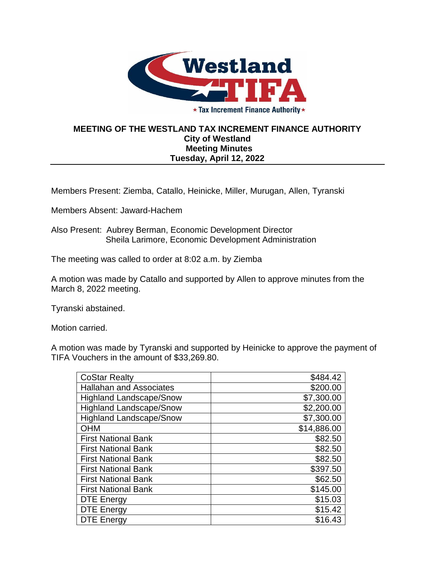

★ Tax Increment Finance Authority ★

## **MEETING OF THE WESTLAND TAX INCREMENT FINANCE AUTHORITY City of Westland Meeting Minutes Tuesday, April 12, 2022**

Members Present: Ziemba, Catallo, Heinicke, Miller, Murugan, Allen, Tyranski

Members Absent: Jaward-Hachem

Also Present: Aubrey Berman, Economic Development Director Sheila Larimore, Economic Development Administration

The meeting was called to order at 8:02 a.m. by Ziemba

A motion was made by Catallo and supported by Allen to approve minutes from the March 8, 2022 meeting.

Tyranski abstained.

Motion carried.

A motion was made by Tyranski and supported by Heinicke to approve the payment of TIFA Vouchers in the amount of \$33,269.80.

| <b>CoStar Realty</b>           | \$484.42    |
|--------------------------------|-------------|
| <b>Hallahan and Associates</b> | \$200.00    |
| <b>Highland Landscape/Snow</b> | \$7,300.00  |
| <b>Highland Landscape/Snow</b> | \$2,200.00  |
| <b>Highland Landscape/Snow</b> | \$7,300.00  |
| <b>OHM</b>                     | \$14,886.00 |
| <b>First National Bank</b>     | \$82.50     |
| <b>First National Bank</b>     | \$82.50     |
| <b>First National Bank</b>     | \$82.50     |
| <b>First National Bank</b>     | \$397.50    |
| <b>First National Bank</b>     | \$62.50     |
| <b>First National Bank</b>     | \$145.00    |
| <b>DTE Energy</b>              | \$15.03     |
| <b>DTE Energy</b>              | \$15.42     |
| <b>DTE Energy</b>              | \$16.43     |